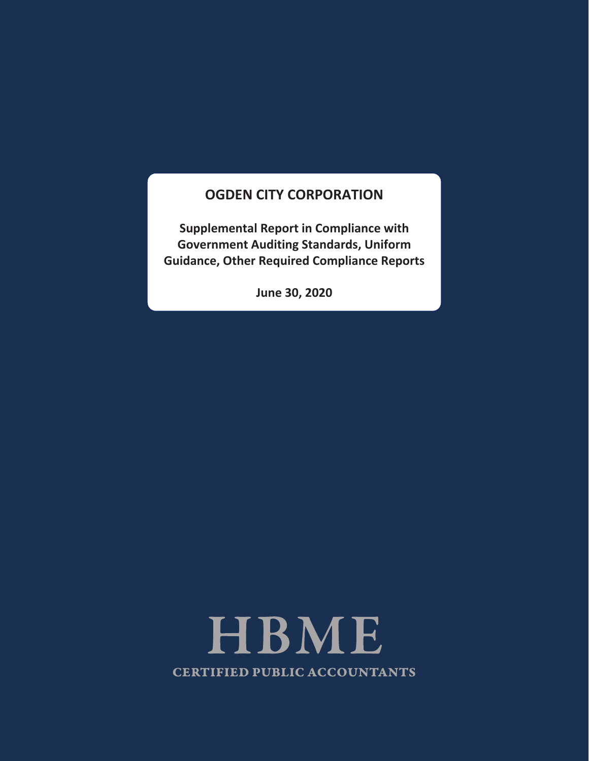# **OGDEN CITY CORPORATION**

**Supplemental Report in Compliance with Government Auditing Standards, Uniform Guidance, Other Required Compliance Reports** 

June 30, 2020

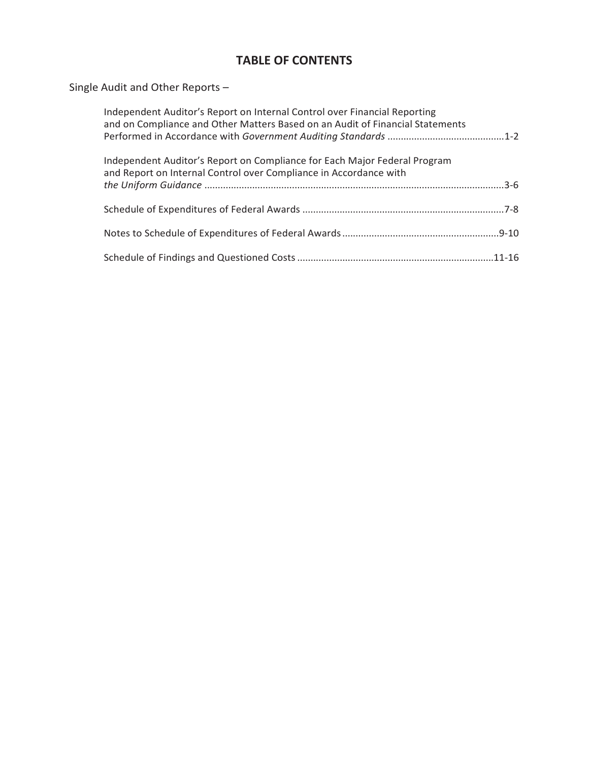# **TABLE OF CONTENTS**

Single Audit and Other Reports –

| Independent Auditor's Report on Internal Control over Financial Reporting<br>and on Compliance and Other Matters Based on an Audit of Financial Statements |  |
|------------------------------------------------------------------------------------------------------------------------------------------------------------|--|
| Independent Auditor's Report on Compliance for Each Major Federal Program<br>and Report on Internal Control over Compliance in Accordance with             |  |
|                                                                                                                                                            |  |
|                                                                                                                                                            |  |
|                                                                                                                                                            |  |
|                                                                                                                                                            |  |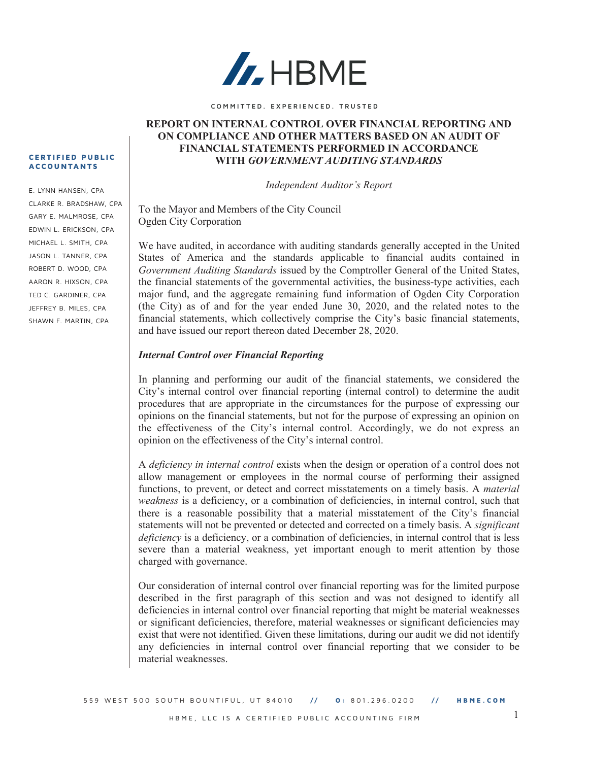

**COMMITTED. EXPERIENCED. TRUSTED**

# **REPORT ON INTERNAL CONTROL OVER FINANCIAL REPORTING AND ON COMPLIANCE AND OTHER MATTERS BASED ON AN AUDIT OF FINANCIAL STATEMENTS PERFORMED IN ACCORDANCE WITH** *GOVERNMENT AUDITING STANDARDS*

*Independent Auditor's Report*

To the Mayor and Members of the City Council Ogden City Corporation

We have audited, in accordance with auditing standards generally accepted in the United States of America and the standards applicable to financial audits contained in *Government Auditing Standards* issued by the Comptroller General of the United States, the financial statements of the governmental activities, the business-type activities, each major fund, and the aggregate remaining fund information of Ogden City Corporation (the City) as of and for the year ended June 30, 2020, and the related notes to the financial statements, which collectively comprise the City's basic financial statements, and have issued our report thereon dated December 28, 2020.

# *Internal Control over Financial Reporting*

In planning and performing our audit of the financial statements, we considered the City's internal control over financial reporting (internal control) to determine the audit procedures that are appropriate in the circumstances for the purpose of expressing our opinions on the financial statements, but not for the purpose of expressing an opinion on the effectiveness of the City's internal control. Accordingly, we do not express an opinion on the effectiveness of the City's internal control.

A *deficiency in internal control* exists when the design or operation of a control does not allow management or employees in the normal course of performing their assigned functions, to prevent, or detect and correct misstatements on a timely basis. A *material weakness* is a deficiency, or a combination of deficiencies, in internal control, such that there is a reasonable possibility that a material misstatement of the City's financial statements will not be prevented or detected and corrected on a timely basis. A *significant deficiency* is a deficiency, or a combination of deficiencies, in internal control that is less severe than a material weakness, yet important enough to merit attention by those charged with governance.

Our consideration of internal control over financial reporting was for the limited purpose described in the first paragraph of this section and was not designed to identify all deficiencies in internal control over financial reporting that might be material weaknesses or significant deficiencies, therefore, material weaknesses or significant deficiencies may exist that were not identified. Given these limitations, during our audit we did not identify any deficiencies in internal control over financial reporting that we consider to be material weaknesses.

#### **CERTIFIED PUBLIC** ACCOUNTANTS

E. LYNN HANSEN, CPA CLARKE R. BRADSHAW, CPA GARY F. MALMROSE, CPA EDWIN L. ERICKSON, CPA MICHAEL L. SMITH, CPA JASON L. TANNER, CPA ROBERT D. WOOD, CPA AARON R. HIXSON, CPA TED C. GARDINER, CPA JEFFREY B. MILES, CPA SHAWN F. MARTIN, CPA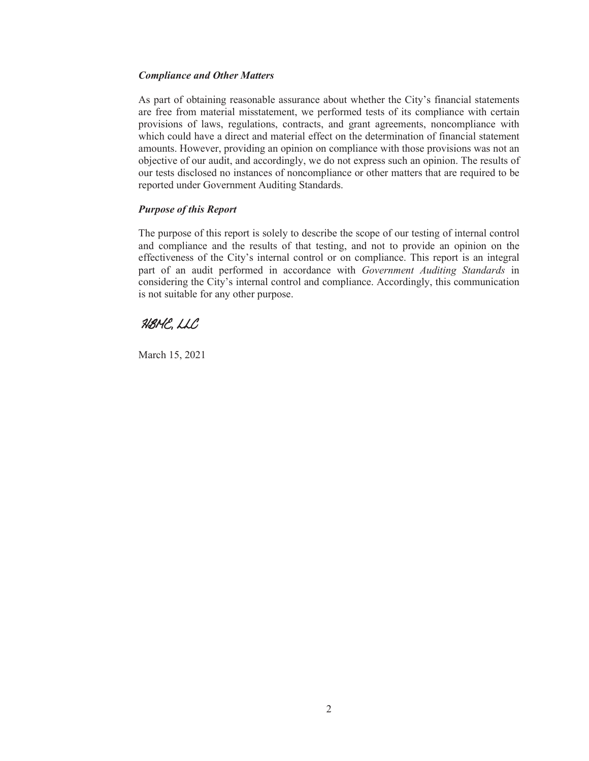# *Compliance and Other Matters*

As part of obtaining reasonable assurance about whether the City's financial statements are free from material misstatement, we performed tests of its compliance with certain provisions of laws, regulations, contracts, and grant agreements, noncompliance with which could have a direct and material effect on the determination of financial statement amounts. However, providing an opinion on compliance with those provisions was not an objective of our audit, and accordingly, we do not express such an opinion. The results of our tests disclosed no instances of noncompliance or other matters that are required to be reported under Government Auditing Standards.

# *Purpose of this Report*

The purpose of this report is solely to describe the scope of our testing of internal control and compliance and the results of that testing, and not to provide an opinion on the effectiveness of the City's internal control or on compliance. This report is an integral part of an audit performed in accordance with *Government Auditing Standards* in considering the City's internal control and compliance. Accordingly, this communication is not suitable for any other purpose.

# HBME, LLC

March 15, 2021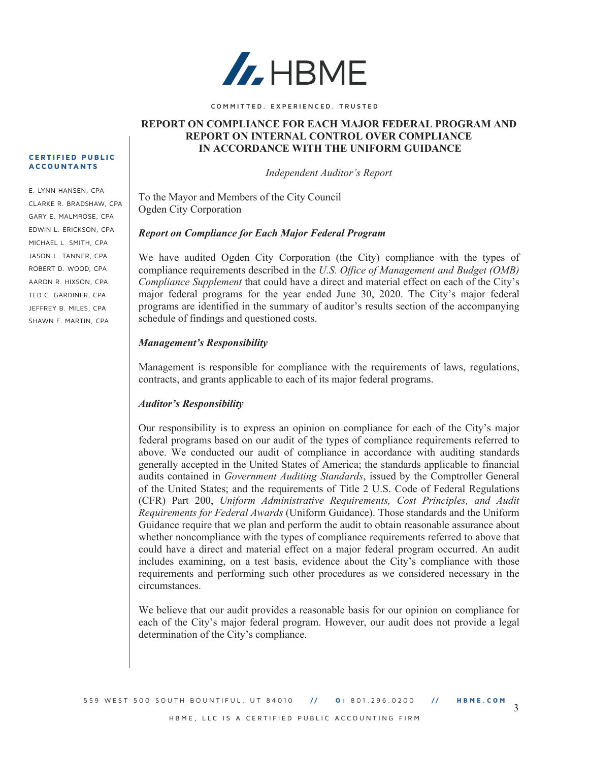

**COMMITTED. EXPERIENCED. TRUSTED**

# **REPORT ON COMPLIANCE FOR EACH MAJOR FEDERAL PROGRAM AND REPORT ON INTERNAL CONTROL OVER COMPLIANCE IN ACCORDANCE WITH THE UNIFORM GUIDANCE**

*Independent Auditor's Report* 

To the Mayor and Members of the City Council Ogden City Corporation

## *Report on Compliance for Each Major Federal Program*

We have audited Ogden City Corporation (the City) compliance with the types of compliance requirements described in the *U.S. Office of Management and Budget (OMB) Compliance Supplement* that could have a direct and material effect on each of the City's major federal programs for the year ended June 30, 2020. The City's major federal programs are identified in the summary of auditor's results section of the accompanying schedule of findings and questioned costs.

# *Management's Responsibility*

Management is responsible for compliance with the requirements of laws, regulations, contracts, and grants applicable to each of its major federal programs.

# *Auditor's Responsibility*

Our responsibility is to express an opinion on compliance for each of the City's major federal programs based on our audit of the types of compliance requirements referred to above. We conducted our audit of compliance in accordance with auditing standards generally accepted in the United States of America; the standards applicable to financial audits contained in *Government Auditing Standards*, issued by the Comptroller General of the United States; and the requirements of Title 2 U.S. Code of Federal Regulations (CFR) Part 200, *Uniform Administrative Requirements, Cost Principles, and Audit Requirements for Federal Awards* (Uniform Guidance). Those standards and the Uniform Guidance require that we plan and perform the audit to obtain reasonable assurance about whether noncompliance with the types of compliance requirements referred to above that could have a direct and material effect on a major federal program occurred. An audit includes examining, on a test basis, evidence about the City's compliance with those requirements and performing such other procedures as we considered necessary in the circumstances.

We believe that our audit provides a reasonable basis for our opinion on compliance for each of the City's major federal program. However, our audit does not provide a legal determination of the City's compliance.

#### **CERTIFIED PUBLIC** ACCOUNTANTS

E. LYNN HANSEN, CPA CLARKE R. BRADSHAW, CPA GARY F. MALMROSE, CPA EDWIN L. ERICKSON, CPA MICHAEL L. SMITH, CPA JASON L. TANNER, CPA ROBERT D. WOOD, CPA AARON R. HIXSON, CPA TED C. GARDINER, CPA JEFFREY B. MILES, CPA SHAWN F. MARTIN, CPA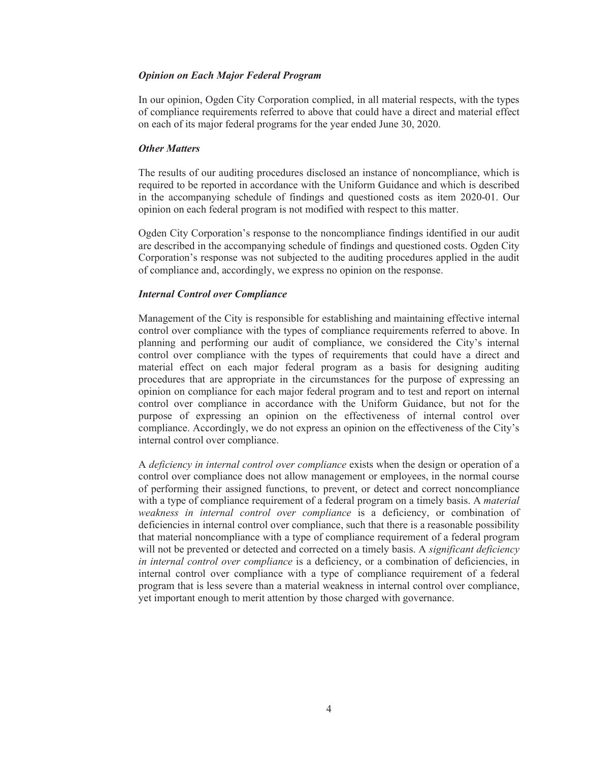# *Opinion on Each Major Federal Program*

In our opinion, Ogden City Corporation complied, in all material respects, with the types of compliance requirements referred to above that could have a direct and material effect on each of its major federal programs for the year ended June 30, 2020.

## *Other Matters*

The results of our auditing procedures disclosed an instance of noncompliance, which is required to be reported in accordance with the Uniform Guidance and which is described in the accompanying schedule of findings and questioned costs as item 2020-01. Our opinion on each federal program is not modified with respect to this matter.

Ogden City Corporation's response to the noncompliance findings identified in our audit are described in the accompanying schedule of findings and questioned costs. Ogden City Corporation's response was not subjected to the auditing procedures applied in the audit of compliance and, accordingly, we express no opinion on the response.

# *Internal Control over Compliance*

Management of the City is responsible for establishing and maintaining effective internal control over compliance with the types of compliance requirements referred to above. In planning and performing our audit of compliance, we considered the City's internal control over compliance with the types of requirements that could have a direct and material effect on each major federal program as a basis for designing auditing procedures that are appropriate in the circumstances for the purpose of expressing an opinion on compliance for each major federal program and to test and report on internal control over compliance in accordance with the Uniform Guidance, but not for the purpose of expressing an opinion on the effectiveness of internal control over compliance. Accordingly, we do not express an opinion on the effectiveness of the City's internal control over compliance.

A *deficiency in internal control over compliance* exists when the design or operation of a control over compliance does not allow management or employees, in the normal course of performing their assigned functions, to prevent, or detect and correct noncompliance with a type of compliance requirement of a federal program on a timely basis. A *material weakness in internal control over compliance* is a deficiency, or combination of deficiencies in internal control over compliance, such that there is a reasonable possibility that material noncompliance with a type of compliance requirement of a federal program will not be prevented or detected and corrected on a timely basis. A *significant deficiency in internal control over compliance* is a deficiency, or a combination of deficiencies, in internal control over compliance with a type of compliance requirement of a federal program that is less severe than a material weakness in internal control over compliance, yet important enough to merit attention by those charged with governance.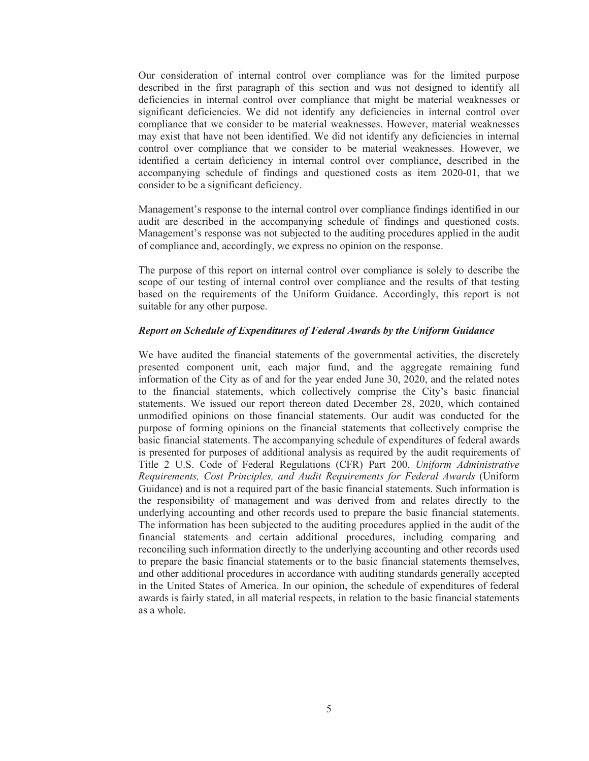Our consideration of internal control over compliance was for the limited purpose described in the first paragraph of this section and was not designed to identify all deficiencies in internal control over compliance that might be material weaknesses or significant deficiencies. We did not identify any deficiencies in internal control over compliance that we consider to be material weaknesses. However, material weaknesses may exist that have not been identified. We did not identify any deficiencies in internal control over compliance that we consider to be material weaknesses. However, we identified a certain deficiency in internal control over compliance, described in the accompanying schedule of findings and questioned costs as item 2020-01, that we consider to be a significant deficiency.

Management's response to the internal control over compliance findings identified in our audit are described in the accompanying schedule of findings and questioned costs. Management's response was not subjected to the auditing procedures applied in the audit of compliance and, accordingly, we express no opinion on the response.

The purpose of this report on internal control over compliance is solely to describe the scope of our testing of internal control over compliance and the results of that testing based on the requirements of the Uniform Guidance. Accordingly, this report is not suitable for any other purpose.

## *Report on Schedule of Expenditures of Federal Awards by the Uniform Guidance*

We have audited the financial statements of the governmental activities, the discretely presented component unit, each major fund, and the aggregate remaining fund information of the City as of and for the year ended June 30, 2020, and the related notes to the financial statements, which collectively comprise the City's basic financial statements. We issued our report thereon dated December 28, 2020, which contained unmodified opinions on those financial statements. Our audit was conducted for the purpose of forming opinions on the financial statements that collectively comprise the basic financial statements. The accompanying schedule of expenditures of federal awards is presented for purposes of additional analysis as required by the audit requirements of Title 2 U.S. Code of Federal Regulations (CFR) Part 200, *Uniform Administrative Requirements, Cost Principles, and Audit Requirements for Federal Awards* (Uniform Guidance) and is not a required part of the basic financial statements. Such information is the responsibility of management and was derived from and relates directly to the underlying accounting and other records used to prepare the basic financial statements. The information has been subjected to the auditing procedures applied in the audit of the financial statements and certain additional procedures, including comparing and reconciling such information directly to the underlying accounting and other records used to prepare the basic financial statements or to the basic financial statements themselves, and other additional procedures in accordance with auditing standards generally accepted in the United States of America. In our opinion, the schedule of expenditures of federal awards is fairly stated, in all material respects, in relation to the basic financial statements as a whole.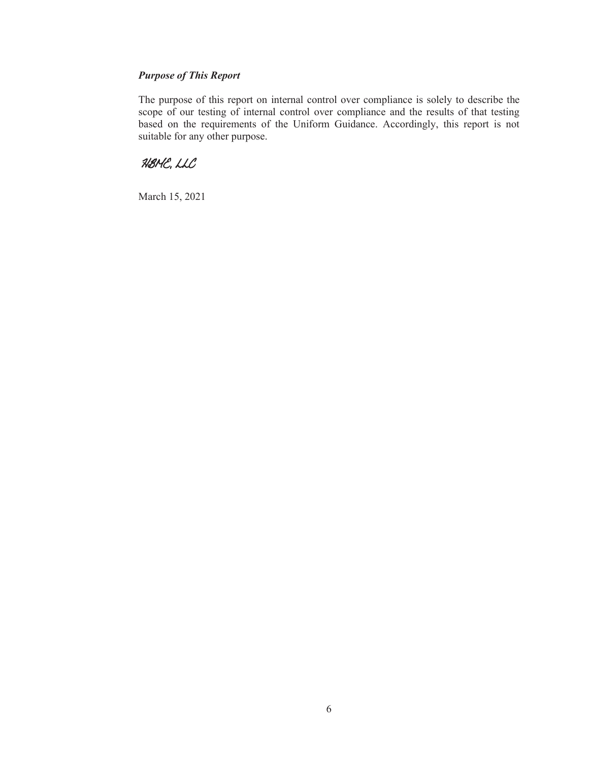# *Purpose of This Report*

The purpose of this report on internal control over compliance is solely to describe the scope of our testing of internal control over compliance and the results of that testing based on the requirements of the Uniform Guidance. Accordingly, this report is not suitable for any other purpose.

HBME, LLC

March 15, 2021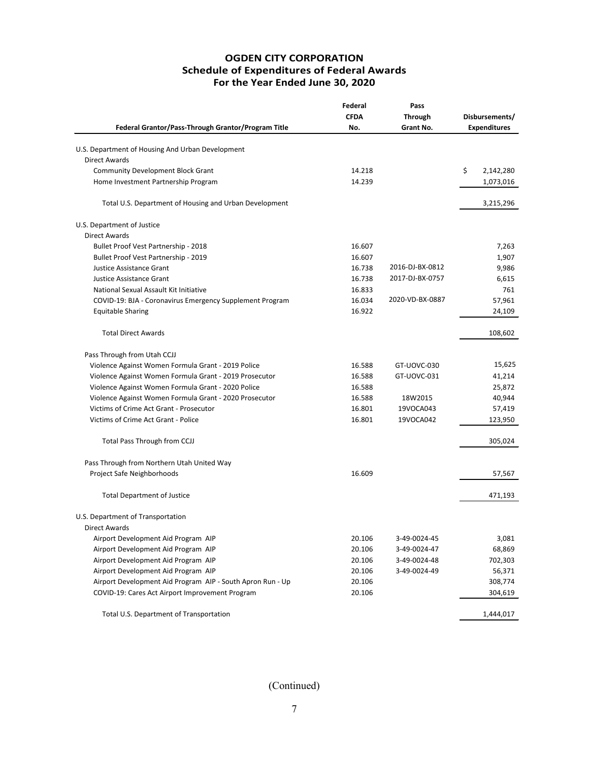# **OGDEN CITY CORPORATION Schedule of Expenditures of Federal Awards For the Year Ended June 30, 2020**

|                                                            | Federal<br><b>CFDA</b> | Pass<br><b>Through</b> | Disbursements/      |
|------------------------------------------------------------|------------------------|------------------------|---------------------|
| Federal Grantor/Pass-Through Grantor/Program Title         | No.                    | Grant No.              | <b>Expenditures</b> |
| U.S. Department of Housing And Urban Development           |                        |                        |                     |
| <b>Direct Awards</b>                                       |                        |                        |                     |
| <b>Community Development Block Grant</b>                   | 14.218                 |                        | \$<br>2,142,280     |
| Home Investment Partnership Program                        | 14.239                 |                        | 1,073,016           |
| Total U.S. Department of Housing and Urban Development     |                        |                        | 3,215,296           |
| U.S. Department of Justice                                 |                        |                        |                     |
| Direct Awards                                              |                        |                        |                     |
| Bullet Proof Vest Partnership - 2018                       | 16.607                 |                        | 7,263               |
| Bullet Proof Vest Partnership - 2019                       | 16.607                 |                        | 1,907               |
| Justice Assistance Grant                                   | 16.738                 | 2016-DJ-BX-0812        | 9,986               |
| Justice Assistance Grant                                   | 16.738                 | 2017-DJ-BX-0757        | 6,615               |
| National Sexual Assault Kit Initiative                     | 16.833                 |                        | 761                 |
| COVID-19: BJA - Coronavirus Emergency Supplement Program   | 16.034                 | 2020-VD-BX-0887        | 57,961              |
| <b>Equitable Sharing</b>                                   | 16.922                 |                        | 24,109              |
| <b>Total Direct Awards</b>                                 |                        |                        | 108,602             |
| Pass Through from Utah CCJJ                                |                        |                        |                     |
| Violence Against Women Formula Grant - 2019 Police         | 16.588                 | GT-UOVC-030            | 15,625              |
| Violence Against Women Formula Grant - 2019 Prosecutor     | 16.588                 | GT-UOVC-031            | 41,214              |
| Violence Against Women Formula Grant - 2020 Police         | 16.588                 |                        | 25,872              |
| Violence Against Women Formula Grant - 2020 Prosecutor     | 16.588                 | 18W2015                | 40,944              |
| Victims of Crime Act Grant - Prosecutor                    | 16.801                 | 19VOCA043              | 57,419              |
| Victims of Crime Act Grant - Police                        | 16.801                 | 19VOCA042              | 123,950             |
| <b>Total Pass Through from CCJJ</b>                        |                        |                        | 305,024             |
| Pass Through from Northern Utah United Way                 |                        |                        |                     |
| Project Safe Neighborhoods                                 | 16.609                 |                        | 57,567              |
| <b>Total Department of Justice</b>                         |                        |                        | 471,193             |
| U.S. Department of Transportation                          |                        |                        |                     |
| Direct Awards                                              |                        |                        |                     |
| Airport Development Aid Program AIP                        | 20.106                 | 3-49-0024-45           | 3,081               |
| Airport Development Aid Program AIP                        | 20.106                 | 3-49-0024-47           | 68,869              |
| Airport Development Aid Program AIP<br>20.106              |                        | 3-49-0024-48           | 702,303             |
| Airport Development Aid Program AIP                        | 20.106                 | 3-49-0024-49           | 56,371              |
| Airport Development Aid Program AIP - South Apron Run - Up | 20.106                 |                        | 308,774             |
| COVID-19: Cares Act Airport Improvement Program            | 20.106                 |                        | 304,619             |
| Total U.S. Department of Transportation                    |                        |                        | 1,444,017           |

(Continued)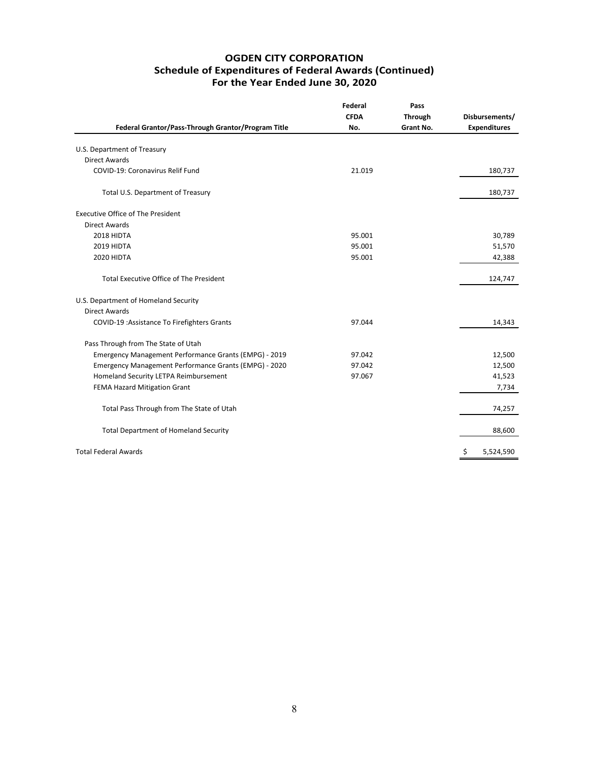# **OGDEN CITY CORPORATION Schedule of Expenditures of Federal Awards (Continued) For the Year Ended June 30, 2020**

|                                                       | Federal<br><b>CFDA</b> | Pass<br>Through | Disbursements/      |
|-------------------------------------------------------|------------------------|-----------------|---------------------|
| Federal Grantor/Pass-Through Grantor/Program Title    | No.                    | Grant No.       | <b>Expenditures</b> |
| U.S. Department of Treasury                           |                        |                 |                     |
| <b>Direct Awards</b>                                  |                        |                 |                     |
| COVID-19: Coronavirus Relif Fund                      | 21.019                 |                 | 180,737             |
| Total U.S. Department of Treasury                     |                        |                 | 180,737             |
| <b>Executive Office of The President</b>              |                        |                 |                     |
| <b>Direct Awards</b>                                  |                        |                 |                     |
| 2018 HIDTA                                            | 95.001                 |                 | 30,789              |
| 2019 HIDTA                                            | 95.001                 |                 | 51,570              |
| 2020 HIDTA                                            | 95.001                 |                 | 42,388              |
| Total Executive Office of The President               |                        |                 | 124,747             |
| U.S. Department of Homeland Security                  |                        |                 |                     |
| <b>Direct Awards</b>                                  |                        |                 |                     |
| COVID-19 :Assistance To Firefighters Grants           | 97.044                 |                 | 14,343              |
| Pass Through from The State of Utah                   |                        |                 |                     |
| Emergency Management Performance Grants (EMPG) - 2019 | 97.042                 |                 | 12,500              |
| Emergency Management Performance Grants (EMPG) - 2020 | 97.042                 |                 | 12,500              |
| Homeland Security LETPA Reimbursement                 | 97.067                 |                 | 41,523              |
| FEMA Hazard Mitigation Grant                          |                        |                 | 7,734               |
| Total Pass Through from The State of Utah             |                        |                 | 74,257              |
| <b>Total Department of Homeland Security</b>          |                        |                 | 88,600              |
| <b>Total Federal Awards</b>                           |                        |                 | \$<br>5,524,590     |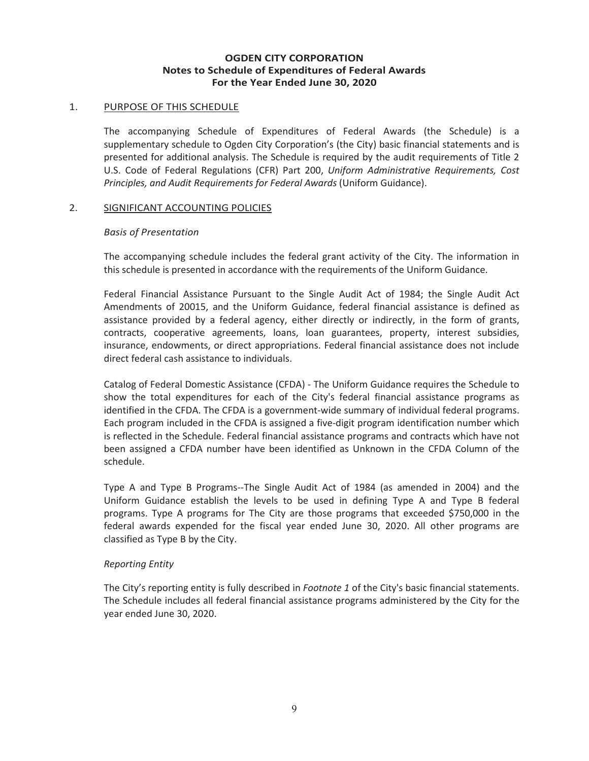# **OGDEN CITY CORPORATION Notes to Schedule of Expenditures of Federal Awards For the Year Ended June 30, 2020**

# 1. PURPOSE OF THIS SCHEDULE

The accompanying Schedule of Expenditures of Federal Awards (the Schedule) is a supplementary schedule to Ogden City Corporation's (the City) basic financial statements and is presented for additional analysis. The Schedule is required by the audit requirements of Title 2 U.S. Code of Federal Regulations (CFR) Part 200, *Uniform Administrative Requirements, Cost Principles, and Audit Requirements for Federal Awards* (Uniform Guidance).

# 2. SIGNIFICANT ACCOUNTING POLICIES

# *Basis of Presentation*

The accompanying schedule includes the federal grant activity of the City. The information in this schedule is presented in accordance with the requirements of the Uniform Guidance.

Federal Financial Assistance Pursuant to the Single Audit Act of 1984; the Single Audit Act Amendments of 20015, and the Uniform Guidance, federal financial assistance is defined as assistance provided by a federal agency, either directly or indirectly, in the form of grants, contracts, cooperative agreements, loans, loan guarantees, property, interest subsidies, insurance, endowments, or direct appropriations. Federal financial assistance does not include direct federal cash assistance to individuals.

Catalog of Federal Domestic Assistance (CFDA) - The Uniform Guidance requires the Schedule to show the total expenditures for each of the City's federal financial assistance programs as identified in the CFDA. The CFDA is a government-wide summary of individual federal programs. Each program included in the CFDA is assigned a five-digit program identification number which is reflected in the Schedule. Federal financial assistance programs and contracts which have not been assigned a CFDA number have been identified as Unknown in the CFDA Column of the schedule.

Type A and Type B Programs--The Single Audit Act of 1984 (as amended in 2004) and the Uniform Guidance establish the levels to be used in defining Type A and Type B federal programs. Type A programs for The City are those programs that exceeded \$750,000 in the federal awards expended for the fiscal year ended June 30, 2020. All other programs are classified as Type B by the City.

## *Reporting Entity*

The City's reporting entity is fully described in *Footnote 1* of the City's basic financial statements. The Schedule includes all federal financial assistance programs administered by the City for the year ended June 30, 2020.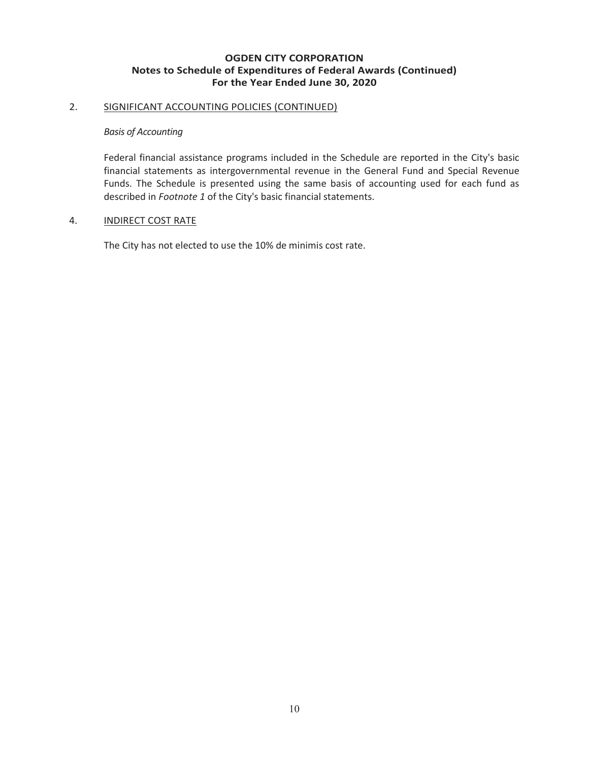# **OGDEN CITY CORPORATION Notes to Schedule of Expenditures of Federal Awards (Continued) For the Year Ended June 30, 2020**

# 2. SIGNIFICANT ACCOUNTING POLICIES (CONTINUED)

# *Basis of Accounting*

Federal financial assistance programs included in the Schedule are reported in the City's basic financial statements as intergovernmental revenue in the General Fund and Special Revenue Funds. The Schedule is presented using the same basis of accounting used for each fund as described in *Footnote 1* of the City's basic financial statements.

# 4. INDIRECT COST RATE

The City has not elected to use the 10% de minimis cost rate.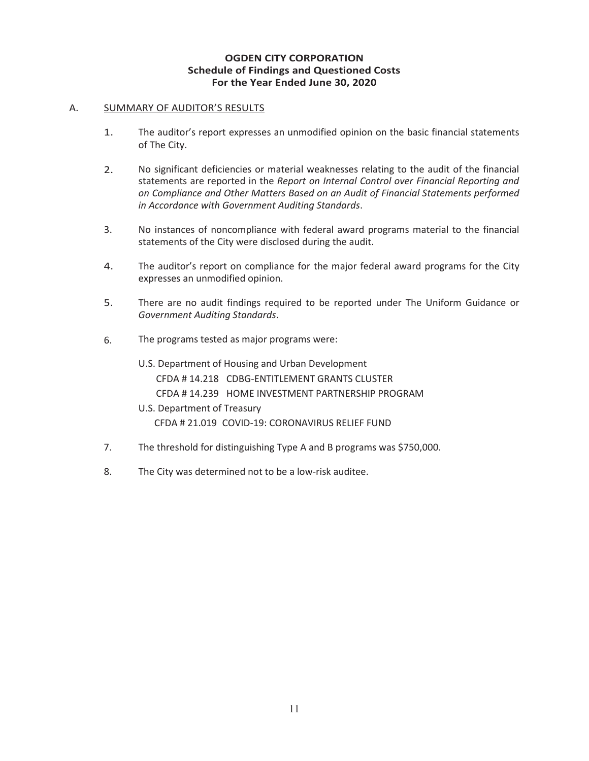# A. SUMMARY OF AUDITOR'S RESULTS

- 1. The auditor's report expresses an unmodified opinion on the basic financial statements of The City.
- 2. No significant deficiencies or material weaknesses relating to the audit of the financial statements are reported in the *Report on Internal Control over Financial Reporting and on Compliance and Other Matters Based on an Audit of Financial Statements performed in Accordance with Government Auditing Standards*.
- 3. No instances of noncompliance with federal award programs material to the financial statements of the City were disclosed during the audit.
- 4. The auditor's report on compliance for the major federal award programs for the City expresses an unmodified opinion.
- 5. There are no audit findings required to be reported under The Uniform Guidance or *Government Auditing Standards*.
- 6. The programs tested as major programs were:
	- U.S. Department of Housing and Urban Development CFDA # 14.218 CDBG-ENTITLEMENT GRANTS CLUSTER CFDA # 14.239 HOME INVESTMENT PARTNERSHIP PROGRAM U.S. Department of Treasury
		- CFDA # 21.019 COVID-19: CORONAVIRUS RELIEF FUND
- 7. The threshold for distinguishing Type A and B programs was \$750,000.
- 8. The City was determined not to be a low-risk auditee.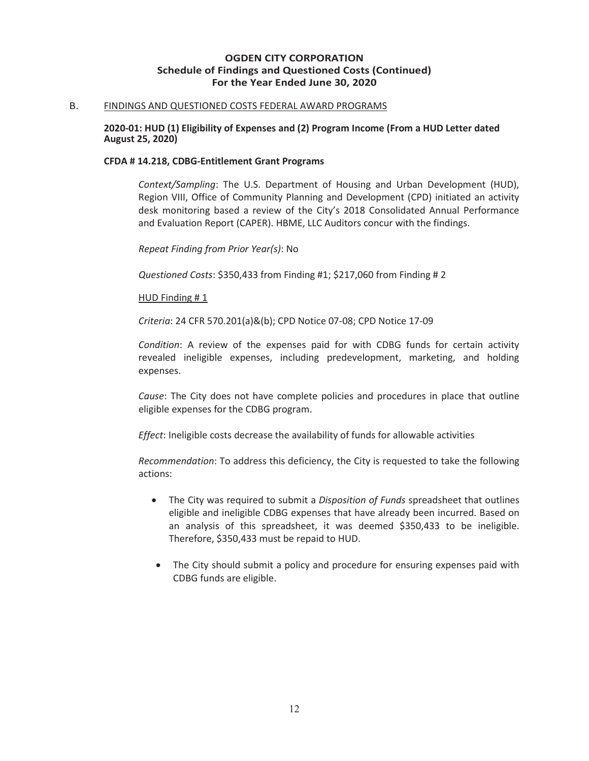## B. FINDINGS AND QUESTIONED COSTS FEDERAL AWARD PROGRAMS

**2020-01: HUD (1) Eligibility of Expenses and (2) Program Income (From a HUD Letter dated August 25, 2020)** 

## **CFDA # 14.218, CDBG-Entitlement Grant Programs**

*Context/Sampling*: The U.S. Department of Housing and Urban Development (HUD), Region VIII, Office of Community Planning and Development (CPD) initiated an activity desk monitoring based a review of the City's 2018 Consolidated Annual Performance and Evaluation Report (CAPER). HBME, LLC Auditors concur with the findings.

*Repeat Finding from Prior Year(s)*: No

*Questioned Costs*: \$350,433 from Finding #1; \$217,060 from Finding # 2

## HUD Finding # 1

*Criteria*: 24 CFR 570.201(a)&(b); CPD Notice 07-08; CPD Notice 17-09

*Condition*: A review of the expenses paid for with CDBG funds for certain activity revealed ineligible expenses, including predevelopment, marketing, and holding expenses.

*Cause*: The City does not have complete policies and procedures in place that outline eligible expenses for the CDBG program.

*Effect*: Ineligible costs decrease the availability of funds for allowable activities

*Recommendation*: To address this deficiency, the City is requested to take the following actions:

- The City was required to submit a *Disposition of Funds* spreadsheet that outlines eligible and ineligible CDBG expenses that have already been incurred. Based on an analysis of this spreadsheet, it was deemed \$350,433 to be ineligible. Therefore, \$350,433 must be repaid to HUD.
- The City should submit a policy and procedure for ensuring expenses paid with CDBG funds are eligible.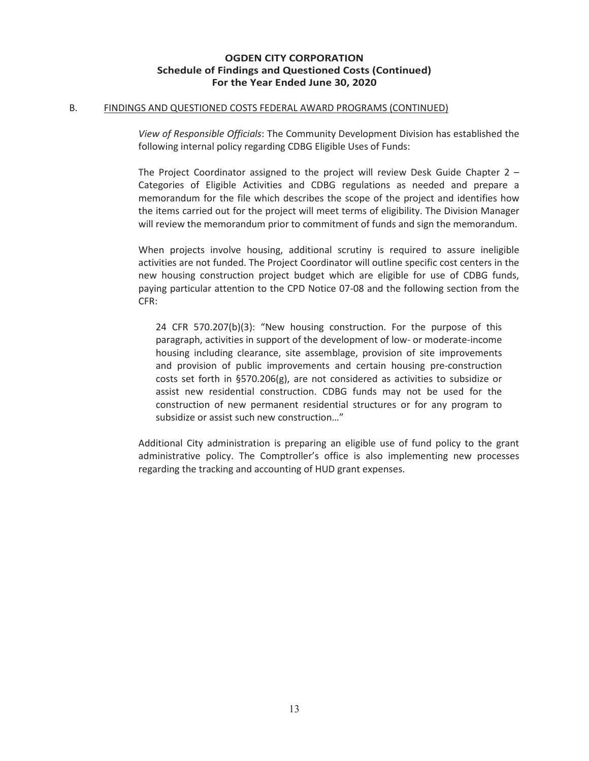## B. FINDINGS AND QUESTIONED COSTS FEDERAL AWARD PROGRAMS (CONTINUED)

*View of Responsible Officials*: The Community Development Division has established the following internal policy regarding CDBG Eligible Uses of Funds:

The Project Coordinator assigned to the project will review Desk Guide Chapter 2 – Categories of Eligible Activities and CDBG regulations as needed and prepare a memorandum for the file which describes the scope of the project and identifies how the items carried out for the project will meet terms of eligibility. The Division Manager will review the memorandum prior to commitment of funds and sign the memorandum.

When projects involve housing, additional scrutiny is required to assure ineligible activities are not funded. The Project Coordinator will outline specific cost centers in the new housing construction project budget which are eligible for use of CDBG funds, paying particular attention to the CPD Notice 07-08 and the following section from the CFR:

24 CFR 570.207(b)(3): "New housing construction. For the purpose of this paragraph, activities in support of the development of low- or moderate-income housing including clearance, site assemblage, provision of site improvements and provision of public improvements and certain housing pre-construction costs set forth in  $\S570.206(g)$ , are not considered as activities to subsidize or assist new residential construction. CDBG funds may not be used for the construction of new permanent residential structures or for any program to subsidize or assist such new construction…"

Additional City administration is preparing an eligible use of fund policy to the grant administrative policy. The Comptroller's office is also implementing new processes regarding the tracking and accounting of HUD grant expenses.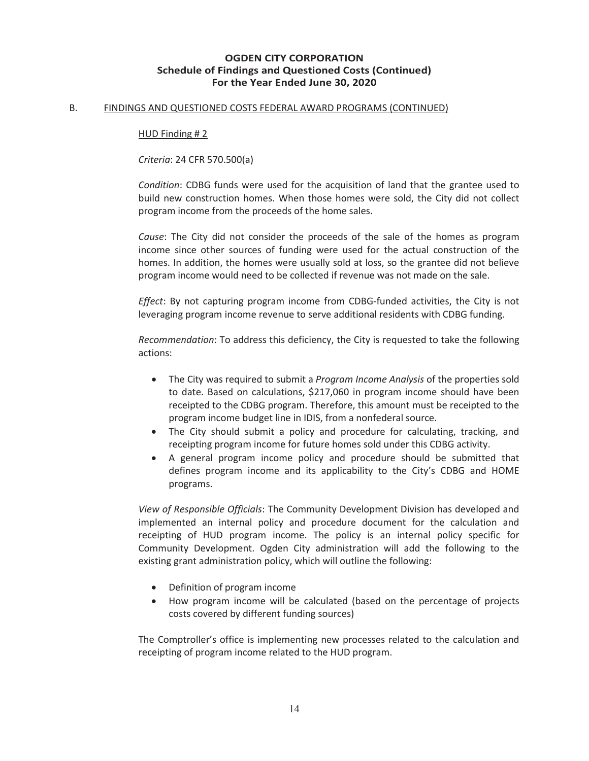## B. FINDINGS AND QUESTIONED COSTS FEDERAL AWARD PROGRAMS (CONTINUED)

## HUD Finding # 2

*Criteria*: 24 CFR 570.500(a)

*Condition*: CDBG funds were used for the acquisition of land that the grantee used to build new construction homes. When those homes were sold, the City did not collect program income from the proceeds of the home sales.

*Cause*: The City did not consider the proceeds of the sale of the homes as program income since other sources of funding were used for the actual construction of the homes. In addition, the homes were usually sold at loss, so the grantee did not believe program income would need to be collected if revenue was not made on the sale.

*Effect*: By not capturing program income from CDBG-funded activities, the City is not leveraging program income revenue to serve additional residents with CDBG funding.

*Recommendation*: To address this deficiency, the City is requested to take the following actions:

- The City was required to submit a *Program Income Analysis* of the properties sold to date. Based on calculations, \$217,060 in program income should have been receipted to the CDBG program. Therefore, this amount must be receipted to the program income budget line in IDIS, from a nonfederal source.
- The City should submit a policy and procedure for calculating, tracking, and receipting program income for future homes sold under this CDBG activity.
- A general program income policy and procedure should be submitted that defines program income and its applicability to the City's CDBG and HOME programs.

*View of Responsible Officials*: The Community Development Division has developed and implemented an internal policy and procedure document for the calculation and receipting of HUD program income. The policy is an internal policy specific for Community Development. Ogden City administration will add the following to the existing grant administration policy, which will outline the following:

- Definition of program income
- How program income will be calculated (based on the percentage of projects costs covered by different funding sources)

The Comptroller's office is implementing new processes related to the calculation and receipting of program income related to the HUD program.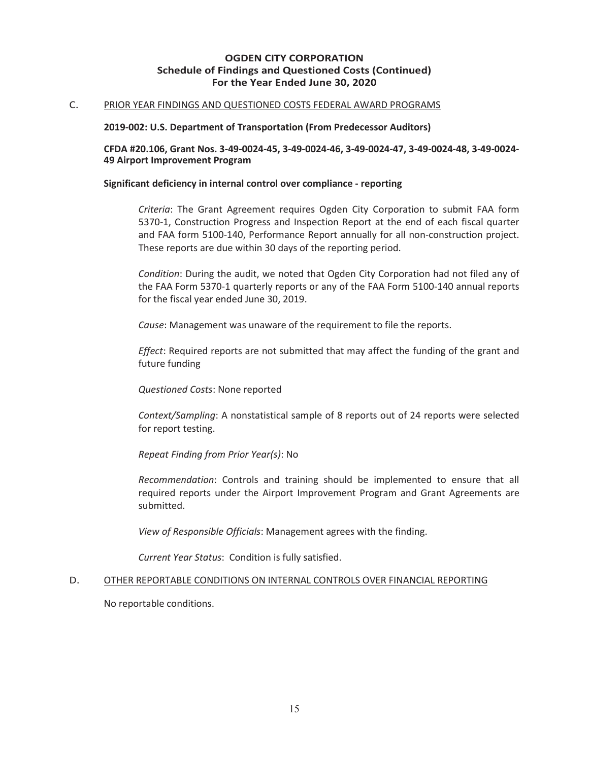## C. PRIOR YEAR FINDINGS AND QUESTIONED COSTS FEDERAL AWARD PROGRAMS

## **2019-002: U.S. Department of Transportation (From Predecessor Auditors)**

**CFDA #20.106, Grant Nos. 3-49-0024-45, 3-49-0024-46, 3-49-0024-47, 3-49-0024-48, 3-49-0024- 49 Airport Improvement Program** 

## **Significant deficiency in internal control over compliance - reporting**

*Criteria*: The Grant Agreement requires Ogden City Corporation to submit FAA form 5370-1, Construction Progress and Inspection Report at the end of each fiscal quarter and FAA form 5100-140, Performance Report annually for all non-construction project. These reports are due within 30 days of the reporting period.

*Condition*: During the audit, we noted that Ogden City Corporation had not filed any of the FAA Form 5370-1 quarterly reports or any of the FAA Form 5100-140 annual reports for the fiscal year ended June 30, 2019.

*Cause*: Management was unaware of the requirement to file the reports.

*Effect*: Required reports are not submitted that may affect the funding of the grant and future funding

*Questioned Costs*: None reported

*Context/Sampling*: A nonstatistical sample of 8 reports out of 24 reports were selected for report testing.

# *Repeat Finding from Prior Year(s)*: No

*Recommendation*: Controls and training should be implemented to ensure that all required reports under the Airport Improvement Program and Grant Agreements are submitted.

*View of Responsible Officials*: Management agrees with the finding.

*Current Year Status*: Condition is fully satisfied.

## D. OTHER REPORTABLE CONDITIONS ON INTERNAL CONTROLS OVER FINANCIAL REPORTING

No reportable conditions.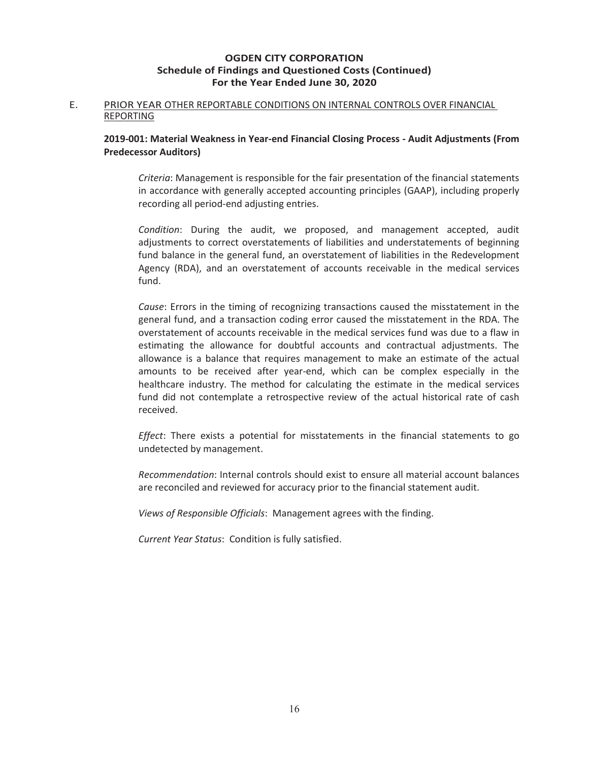## E. PRIOR YEAR OTHER REPORTABLE CONDITIONS ON INTERNAL CONTROLS OVER FINANCIAL REPORTING

# **2019-001: Material Weakness in Year-end Financial Closing Process - Audit Adjustments (From Predecessor Auditors)**

*Criteria*: Management is responsible for the fair presentation of the financial statements in accordance with generally accepted accounting principles (GAAP), including properly recording all period-end adjusting entries.

*Condition*: During the audit, we proposed, and management accepted, audit adjustments to correct overstatements of liabilities and understatements of beginning fund balance in the general fund, an overstatement of liabilities in the Redevelopment Agency (RDA), and an overstatement of accounts receivable in the medical services fund.

*Cause*: Errors in the timing of recognizing transactions caused the misstatement in the general fund, and a transaction coding error caused the misstatement in the RDA. The overstatement of accounts receivable in the medical services fund was due to a flaw in estimating the allowance for doubtful accounts and contractual adjustments. The allowance is a balance that requires management to make an estimate of the actual amounts to be received after year-end, which can be complex especially in the healthcare industry. The method for calculating the estimate in the medical services fund did not contemplate a retrospective review of the actual historical rate of cash received.

*Effect*: There exists a potential for misstatements in the financial statements to go undetected by management.

*Recommendation*: Internal controls should exist to ensure all material account balances are reconciled and reviewed for accuracy prior to the financial statement audit.

*Views of Responsible Officials*: Management agrees with the finding.

*Current Year Status*: Condition is fully satisfied.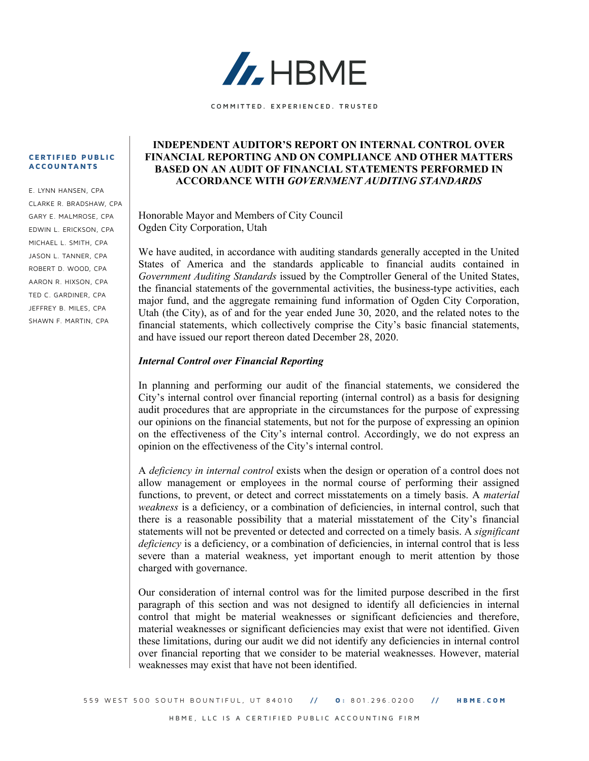![](_page_20_Picture_0.jpeg)

#### **COMMITTED. EXPERIENCED. TRUSTED**

#### CERTIFIED PUBLIC ACCOUNTANTS

E. LYNN HANSEN, CPA CLARKE R. BRADSHAW, CPA GARY F. MALMROSE, CPA EDWIN L. ERICKSON, CPA MICHAEL L. SMITH, CPA JASON L. TANNER, CPA ROBERT D. WOOD, CPA AARON R. HIXSON, CPA TED C. GARDINER, CPA JEFFREY B. MILES, CPA SHAWN F. MARTIN, CPA

# **INDEPENDENT AUDITOR'S REPORT ON INTERNAL CONTROL OVER FINANCIAL REPORTING AND ON COMPLIANCE AND OTHER MATTERS BASED ON AN AUDIT OF FINANCIAL STATEMENTS PERFORMED IN ACCORDANCE WITH** *GOVERNMENT AUDITING STANDARDS*

Honorable Mayor and Members of City Council Ogden City Corporation, Utah

We have audited, in accordance with auditing standards generally accepted in the United States of America and the standards applicable to financial audits contained in *Government Auditing Standards* issued by the Comptroller General of the United States, the financial statements of the governmental activities, the business-type activities, each major fund, and the aggregate remaining fund information of Ogden City Corporation, Utah (the City), as of and for the year ended June 30, 2020, and the related notes to the financial statements, which collectively comprise the City's basic financial statements, and have issued our report thereon dated December 28, 2020.

# *Internal Control over Financial Reporting*

In planning and performing our audit of the financial statements, we considered the City's internal control over financial reporting (internal control) as a basis for designing audit procedures that are appropriate in the circumstances for the purpose of expressing our opinions on the financial statements, but not for the purpose of expressing an opinion on the effectiveness of the City's internal control. Accordingly, we do not express an opinion on the effectiveness of the City's internal control.

A *deficiency in internal control* exists when the design or operation of a control does not allow management or employees in the normal course of performing their assigned functions, to prevent, or detect and correct misstatements on a timely basis. A *material weakness* is a deficiency, or a combination of deficiencies, in internal control, such that there is a reasonable possibility that a material misstatement of the City's financial statements will not be prevented or detected and corrected on a timely basis. A *significant deficiency* is a deficiency, or a combination of deficiencies, in internal control that is less severe than a material weakness, yet important enough to merit attention by those charged with governance.

Our consideration of internal control was for the limited purpose described in the first paragraph of this section and was not designed to identify all deficiencies in internal control that might be material weaknesses or significant deficiencies and therefore, material weaknesses or significant deficiencies may exist that were not identified. Given these limitations, during our audit we did not identify any deficiencies in internal control over financial reporting that we consider to be material weaknesses. However, material weaknesses may exist that have not been identified.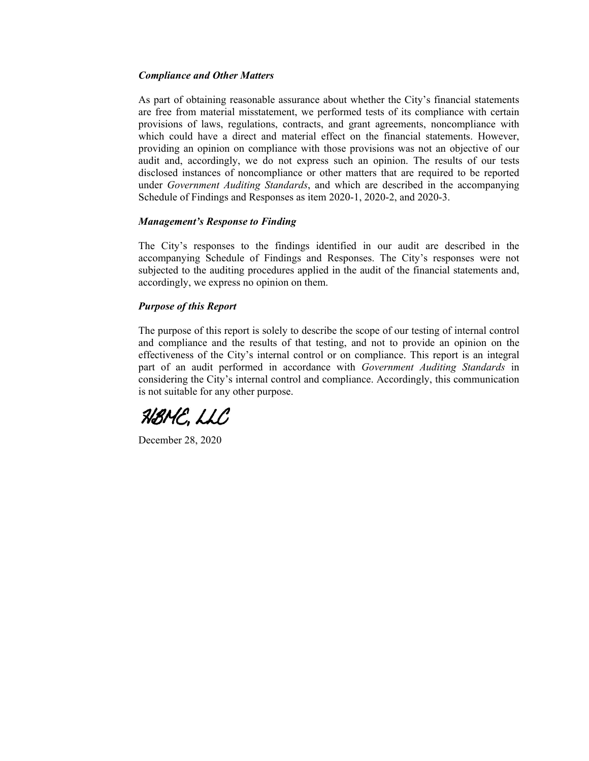## *Compliance and Other Matters*

As part of obtaining reasonable assurance about whether the City's financial statements are free from material misstatement, we performed tests of its compliance with certain provisions of laws, regulations, contracts, and grant agreements, noncompliance with which could have a direct and material effect on the financial statements. However, providing an opinion on compliance with those provisions was not an objective of our audit and, accordingly, we do not express such an opinion. The results of our tests disclosed instances of noncompliance or other matters that are required to be reported under *Government Auditing Standards*, and which are described in the accompanying Schedule of Findings and Responses as item 2020-1, 2020-2, and 2020-3.

# *Management's Response to Finding*

The City's responses to the findings identified in our audit are described in the accompanying Schedule of Findings and Responses. The City's responses were not subjected to the auditing procedures applied in the audit of the financial statements and, accordingly, we express no opinion on them.

# *Purpose of this Report*

The purpose of this report is solely to describe the scope of our testing of internal control and compliance and the results of that testing, and not to provide an opinion on the effectiveness of the City's internal control or on compliance. This report is an integral part of an audit performed in accordance with *Government Auditing Standards* in considering the City's internal control and compliance. Accordingly, this communication is not suitable for any other purpose.

HBME, LLC

December 28, 2020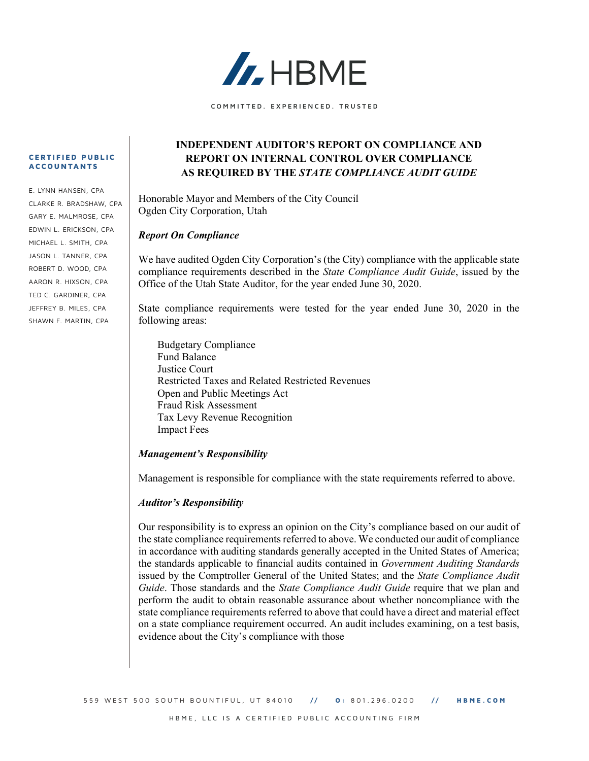![](_page_22_Picture_0.jpeg)

#### **COMMITTED. EXPERIENCED. TRUSTED**

#### CERTIFIED PUBLIC ACCOUNTANTS

E. LYNN HANSEN, CPA CLARKE R. BRADSHAW, CPA GARY E. MALMROSE, CPA EDWIN L. ERICKSON, CPA MICHAEL L. SMITH, CPA JASON L. TANNER, CPA ROBERT D. WOOD, CPA AARON R. HIXSON, CPA TED C. GARDINER, CPA JEFFREY B. MILES, CPA SHAWN F. MARTIN, CPA

# **INDEPENDENT AUDITOR'S REPORT ON COMPLIANCE AND REPORT ON INTERNAL CONTROL OVER COMPLIANCE AS REQUIRED BY THE** *STATE COMPLIANCE AUDIT GUIDE*

Honorable Mayor and Members of the City Council Ogden City Corporation, Utah

## *Report On Compliance*

We have audited Ogden City Corporation's (the City) compliance with the applicable state compliance requirements described in the *State Compliance Audit Guide*, issued by the Office of the Utah State Auditor, for the year ended June 30, 2020.

State compliance requirements were tested for the year ended June 30, 2020 in the following areas:

Budgetary Compliance Fund Balance Justice Court Restricted Taxes and Related Restricted Revenues Open and Public Meetings Act Fraud Risk Assessment Tax Levy Revenue Recognition Impact Fees

## *Management's Responsibility*

Management is responsible for compliance with the state requirements referred to above.

#### *Auditor's Responsibility*

Our responsibility is to express an opinion on the City's compliance based on our audit of the state compliance requirements referred to above. We conducted our audit of compliance in accordance with auditing standards generally accepted in the United States of America; the standards applicable to financial audits contained in *Government Auditing Standards* issued by the Comptroller General of the United States; and the *State Compliance Audit Guide*. Those standards and the *State Compliance Audit Guide* require that we plan and perform the audit to obtain reasonable assurance about whether noncompliance with the state compliance requirements referred to above that could have a direct and material effect on a state compliance requirement occurred. An audit includes examining, on a test basis, evidence about the City's compliance with those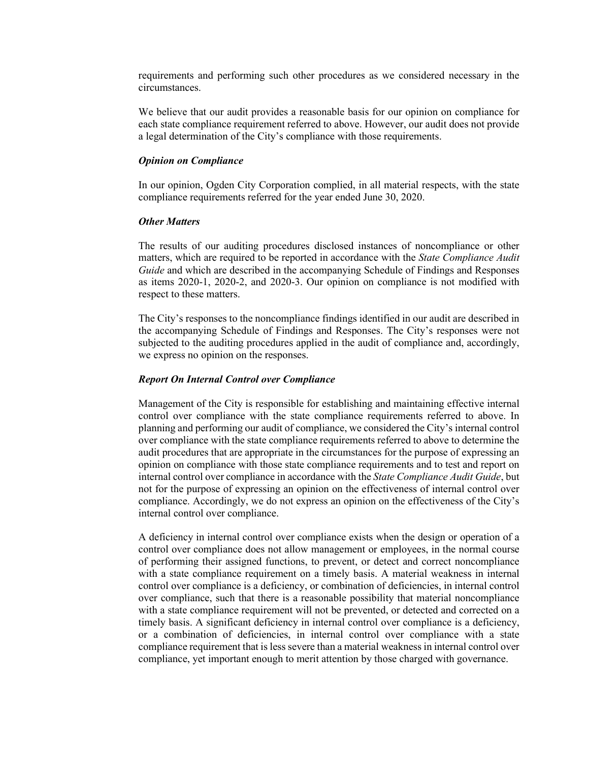requirements and performing such other procedures as we considered necessary in the circumstances.

We believe that our audit provides a reasonable basis for our opinion on compliance for each state compliance requirement referred to above. However, our audit does not provide a legal determination of the City's compliance with those requirements.

## *Opinion on Compliance*

In our opinion, Ogden City Corporation complied, in all material respects, with the state compliance requirements referred for the year ended June 30, 2020.

# *Other Matters*

The results of our auditing procedures disclosed instances of noncompliance or other matters, which are required to be reported in accordance with the *State Compliance Audit Guide* and which are described in the accompanying Schedule of Findings and Responses as items 2020-1, 2020-2, and 2020-3. Our opinion on compliance is not modified with respect to these matters.

The City's responses to the noncompliance findings identified in our audit are described in the accompanying Schedule of Findings and Responses. The City's responses were not subjected to the auditing procedures applied in the audit of compliance and, accordingly, we express no opinion on the responses.

## *Report On Internal Control over Compliance*

Management of the City is responsible for establishing and maintaining effective internal control over compliance with the state compliance requirements referred to above. In planning and performing our audit of compliance, we considered the City's internal control over compliance with the state compliance requirements referred to above to determine the audit procedures that are appropriate in the circumstances for the purpose of expressing an opinion on compliance with those state compliance requirements and to test and report on internal control over compliance in accordance with the *State Compliance Audit Guide*, but not for the purpose of expressing an opinion on the effectiveness of internal control over compliance. Accordingly, we do not express an opinion on the effectiveness of the City's internal control over compliance.

A deficiency in internal control over compliance exists when the design or operation of a control over compliance does not allow management or employees, in the normal course of performing their assigned functions, to prevent, or detect and correct noncompliance with a state compliance requirement on a timely basis. A material weakness in internal control over compliance is a deficiency, or combination of deficiencies, in internal control over compliance, such that there is a reasonable possibility that material noncompliance with a state compliance requirement will not be prevented, or detected and corrected on a timely basis. A significant deficiency in internal control over compliance is a deficiency, or a combination of deficiencies, in internal control over compliance with a state compliance requirement that is less severe than a material weakness in internal control over compliance, yet important enough to merit attention by those charged with governance.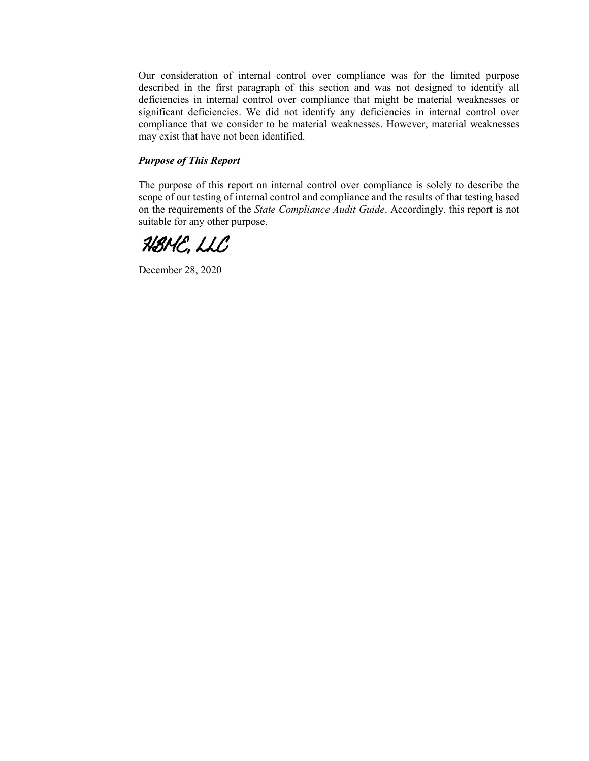Our consideration of internal control over compliance was for the limited purpose described in the first paragraph of this section and was not designed to identify all deficiencies in internal control over compliance that might be material weaknesses or significant deficiencies. We did not identify any deficiencies in internal control over compliance that we consider to be material weaknesses. However, material weaknesses may exist that have not been identified.

# *Purpose of This Report*

The purpose of this report on internal control over compliance is solely to describe the scope of our testing of internal control and compliance and the results of that testing based on the requirements of the *State Compliance Audit Guide*. Accordingly, this report is not suitable for any other purpose.

HBME, LLC

December 28, 2020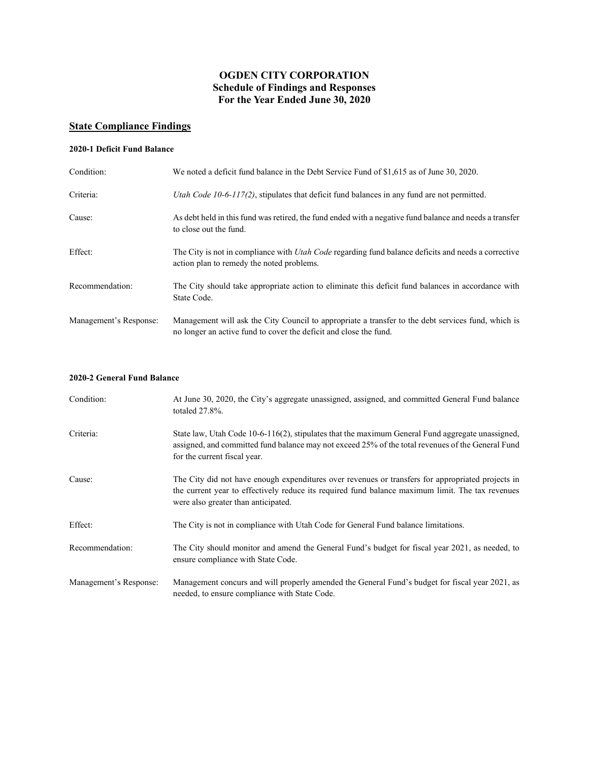# **OGDEN CITY CORPORATION Schedule of Findings and Responses For the Year Ended June 30, 2020**

# **State Compliance Findings**

# **2020-1 Deficit Fund Balance**

| Condition:             | We noted a deficit fund balance in the Debt Service Fund of \$1,615 as of June 30, 2020.                                                                                |
|------------------------|-------------------------------------------------------------------------------------------------------------------------------------------------------------------------|
| Criteria:              | Utah Code 10-6-117(2), stipulates that deficit fund balances in any fund are not permitted.                                                                             |
| Cause:                 | As debt held in this fund was retired, the fund ended with a negative fund balance and needs a transfer<br>to close out the fund.                                       |
| Effect:                | The City is not in compliance with <i>Utah Code</i> regarding fund balance deficits and needs a corrective<br>action plan to remedy the noted problems.                 |
| Recommendation:        | The City should take appropriate action to eliminate this deficit fund balances in accordance with<br>State Code.                                                       |
| Management's Response: | Management will ask the City Council to appropriate a transfer to the debt services fund, which is<br>no longer an active fund to cover the deficit and close the fund. |

## **2020-2 General Fund Balance**

| Condition:             | At June 30, 2020, the City's aggregate unassigned, assigned, and committed General Fund balance<br>totaled $27.8\%$ .                                                                                                                        |
|------------------------|----------------------------------------------------------------------------------------------------------------------------------------------------------------------------------------------------------------------------------------------|
| Criteria:              | State law, Utah Code 10-6-116(2), stipulates that the maximum General Fund aggregate unassigned,<br>assigned, and committed fund balance may not exceed 25% of the total revenues of the General Fund<br>for the current fiscal year.        |
| Cause:                 | The City did not have enough expenditures over revenues or transfers for appropriated projects in<br>the current year to effectively reduce its required fund balance maximum limit. The tax revenues<br>were also greater than anticipated. |
| Effect:                | The City is not in compliance with Utah Code for General Fund balance limitations.                                                                                                                                                           |
| Recommendation:        | The City should monitor and amend the General Fund's budget for fiscal year 2021, as needed, to<br>ensure compliance with State Code.                                                                                                        |
| Management's Response: | Management concurs and will properly amended the General Fund's budget for fiscal year 2021, as<br>needed, to ensure compliance with State Code.                                                                                             |